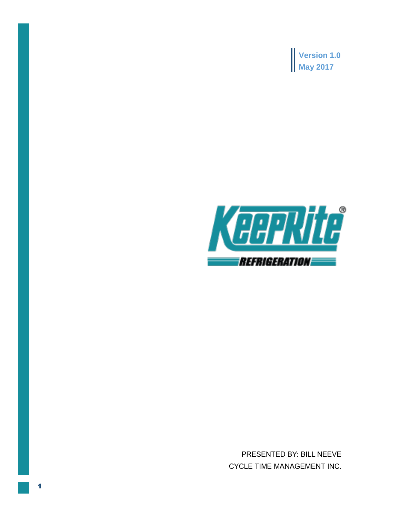**Version 1.0 May 2017**



PRESENTED BY: BILL NEEVE CYCLE TIME MANAGEMENT INC.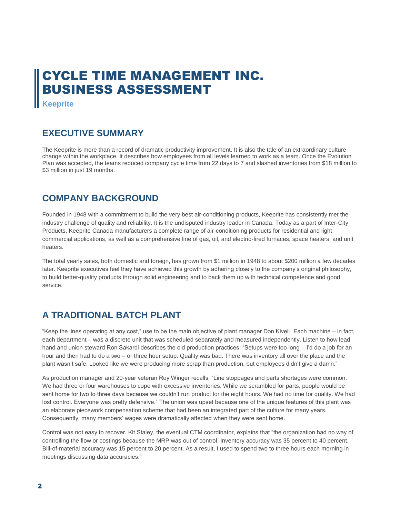# CYCLE TIME MANAGEMENT INC. BUSINESS ASSESSMENT

**Keeprite**

## **EXECUTIVE SUMMARY**

The Keeprite is more than a record of dramatic productivity improvement. It is also the tale of an extraordinary culture change within the workplace. It describes how employees from all levels learned to work as a team. Once the Evolution Plan was accepted, the teams reduced company cycle time from 22 days to 7 and slashed inventories from \$18 million to \$3 million in just 19 months.

### **COMPANY BACKGROUND**

Founded in 1948 with a commitment to build the very best air-conditioning products, Keeprite has consistently met the industry challenge of quality and reliability. It is the undisputed industry leader in Canada. Today as a part of Inter-City Products, Keeprite Canada manufacturers a complete range of air-conditioning products for residential and light commercial applications, as well as a comprehensive line of gas, oil, and electric-fired furnaces, space heaters, and unit heaters.

The total yearly sales, both domestic and foreign, has grown from \$1 million in 1948 to about \$200 million a few decades later. Keeprite executives feel they have achieved this growth by adhering closely to the company's original philosophy, to build better-quality products through solid engineering and to back them up with technical competence and good service.

# **A TRADITIONAL BATCH PLANT**

"Keep the lines operating at any cost," use to be the main objective of plant manager Don Kivell. Each machine – in fact, each department – was a discrete unit that was scheduled separately and measured independently. Listen to how lead hand and union steward Ron Sakardi describes the old production practices: "Setups were too long – I'd do a job for an hour and then had to do a two – or three hour setup. Quality was bad. There was inventory all over the place and the plant wasn't safe. Looked like we were producing more scrap than production, but employees didn't give a damn."

As production manager and 20-year veteran Roy Winger recalls, "Line stoppages and parts shortages were common. We had three or four warehouses to cope with excessive inventories. While we scrambled for parts, people would be sent home for two to three days because we couldn't run product for the eight hours. We had no time for quality. We had lost control. Everyone was pretty defensive." The union was upset because one of the unique features of this plant was an elaborate piecework compensation scheme that had been an integrated part of the culture for many years. Consequently, many members' wages were dramatically affected when they were sent home.

Control was not easy to recover. Kit Staley, the eventual CTM coordinator, explains that "the organization had no way of controlling the flow or costings because the MRP was out of control. Inventory accuracy was 35 percent to 40 percent. Bill-of-material accuracy was 15 percent to 20 percent. As a result, I used to spend two to three hours each morning in meetings discussing data accuracies."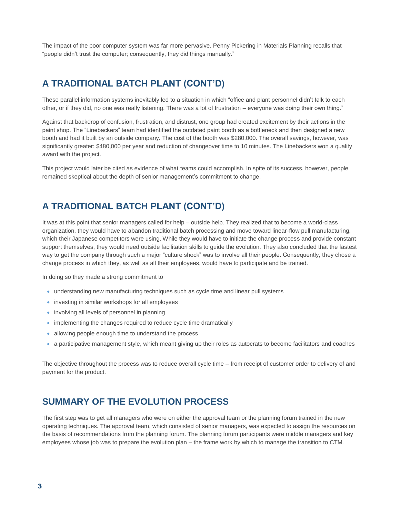The impact of the poor computer system was far more pervasive. Penny Pickering in Materials Planning recalls that "people didn't trust the computer; consequently, they did things manually."

### **A TRADITIONAL BATCH PLANT (CONT'D)**

These parallel information systems inevitably led to a situation in which "office and plant personnel didn't talk to each other, or if they did, no one was really listening. There was a lot of frustration – everyone was doing their own thing."

Against that backdrop of confusion, frustration, and distrust, one group had created excitement by their actions in the paint shop. The "Linebackers" team had identified the outdated paint booth as a bottleneck and then designed a new booth and had it built by an outside company. The cost of the booth was \$280,000. The overall savings, however, was significantly greater: \$480,000 per year and reduction of changeover time to 10 minutes. The Linebackers won a quality award with the project.

This project would later be cited as evidence of what teams could accomplish. In spite of its success, however, people remained skeptical about the depth of senior management's commitment to change.

### **A TRADITIONAL BATCH PLANT (CONT'D)**

It was at this point that senior managers called for help – outside help. They realized that to become a world-class organization, they would have to abandon traditional batch processing and move toward linear-flow pull manufacturing, which their Japanese competitors were using. While they would have to initiate the change process and provide constant support themselves, they would need outside facilitation skills to guide the evolution. They also concluded that the fastest way to get the company through such a major "culture shock" was to involve all their people. Consequently, they chose a change process in which they, as well as all their employees, would have to participate and be trained.

In doing so they made a strong commitment to

- understanding new manufacturing techniques such as cycle time and linear pull systems
- investing in similar workshops for all employees
- involving all levels of personnel in planning
- implementing the changes required to reduce cycle time dramatically
- allowing people enough time to understand the process
- a participative management style, which meant giving up their roles as autocrats to become facilitators and coaches

The objective throughout the process was to reduce overall cycle time – from receipt of customer order to delivery of and payment for the product.

### **SUMMARY OF THE EVOLUTION PROCESS**

The first step was to get all managers who were on either the approval team or the planning forum trained in the new operating techniques. The approval team, which consisted of senior managers, was expected to assign the resources on the basis of recommendations from the planning forum. The planning forum participants were middle managers and key employees whose job was to prepare the evolution plan – the frame work by which to manage the transition to CTM.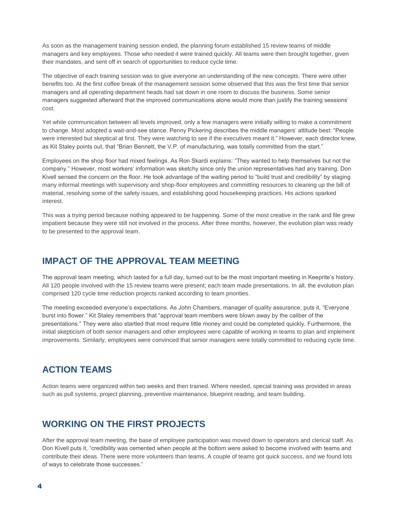As soon as the management training session ended, the planning forum established 15 review teams of middle managers and key employees. Those who needed it were trained quickly. All teams were then brought together, given their mandates, and sent off in search of opportunities to reduce cycle time.

The objective of each training session was to give everyone an understanding of the new concepts. There were other benefits too. At the first coffee break of the management session some observed that this was the first time that senior managers and all operating department heads had sat down in one room to discuss the business. Some senior managers suggested afterward that the improved communications alone would more than justify the training sessions' cost.

Yet while communication between all levels improved, only a few managers were initially willing to make a commitment to change. Most adopted a wait-and-see stance. Penny Pickering describes the middle managers' attitude best: "People were interested but skeptical at first. They were watching to see if the executives meant it." However, each director knew, as Kit Staley points out, that "Brian Bennett, the V.P. of manufacturing, was totally committed from the start."

Employees on the shop floor had mixed feelings. As Ron Skardi explains: "They wanted to help themselves but not the company." However, most workers' information was sketchy since only the union representatives had any training. Don Kivell sensed the concern on the floor. He took advantage of the waiting period to "build trust and credibility" by staging many informal meetings with supervisory and shop-floor employees and committing resources to cleaning up the bill of material, resolving some of the safety issues, and establishing good housekeeping practices. His actions sparked interest.

This was a trying period because nothing appeared to be happening. Some of the most creative in the rank and file grew impatient because they were still not involved in the process. After three months, however, the evolution plan was ready to be presented to the approval team.

### **IMPACT OF THE APPROVAL TEAM MEETING**

The approval team meeting, which lasted for a full day, turned out to be the most important meeting in Keeprite's history. All 120 people involved with the 15 review teams were present; each team made presentations. In all, the evolution plan comprised 120 cycle time reduction projects ranked according to team priorities.

The meeting exceeded everyone's expectations. As John Chambers, manager of quality assurance, puts it, "Everyone burst into flower." Kit Staley remembers that "approval team members were blown away by the caliber of the presentations." They were also startled that most require little money and could be completed quickly. Furthermore, the initial skepticism of both senior managers and other employees were capable of working in teams to plan and implement improvements. Similarly, employees were convinced that senior managers were totally committed to reducing cycle time.

### **ACTION TEAMS**

Action teams were organized within two weeks and then trained. Where needed, special training was provided in areas such as pull systems, project planning, preventive maintenance, blueprint reading, and team building.

### **WORKING ON THE FIRST PROJECTS**

After the approval team meeting, the base of employee participation was moved down to operators and clerical staff. As Don Kivell puts it, "credibility was cemented when people at the bottom were asked to become involved with teams and contribute their ideas. There were more volunteers than teams. A couple of teams got quick success, and we found lots of ways to celebrate those successes."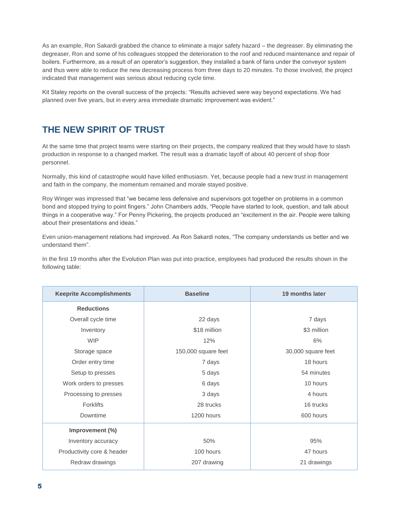As an example, Ron Sakardi grabbed the chance to eliminate a major safety hazard – the degreaser. By eliminating the degreaser, Ron and some of his colleagues stopped the deterioration to the roof and reduced maintenance and repair of boilers. Furthermore, as a result of an operator's suggestion, they installed a bank of fans under the conveyor system and thus were able to reduce the new decreasing process from three days to 20 minutes. To those involved, the project indicated that management was serious about reducing cycle time.

Kit Staley reports on the overall success of the projects: "Results achieved were way beyond expectations. We had planned over five years, but in every area immediate dramatic improvement was evident."

# **THE NEW SPIRIT OF TRUST**

At the same time that project teams were starting on their projects, the company realized that they would have to slash production in response to a changed market. The result was a dramatic layoff of about 40 percent of shop floor personnel.

Normally, this kind of catastrophe would have killed enthusiasm. Yet, because people had a new trust in management and faith in the company, the momentum remained and morale stayed positive.

Roy Winger was impressed that "we became less defensive and supervisors got together on problems in a common bond and stopped trying to point fingers." John Chambers adds, "People have started to look, question, and talk about things in a cooperative way." For Penny Pickering, the projects produced an "excitement in the air. People were talking about their presentations and ideas."

Even union-management relations had improved. As Ron Sakardi notes, "The company understands us better and we understand them".

In the first 19 months after the Evolution Plan was put into practice, employees had produced the results shown in the following table:

| <b>Keeprite Accomplishments</b> | <b>Baseline</b>     | 19 months later    |
|---------------------------------|---------------------|--------------------|
| <b>Reductions</b>               |                     |                    |
| Overall cycle time              | 22 days             | 7 days             |
| Inventory                       | \$18 million        | \$3 million        |
| <b>WIP</b>                      | 12%                 | 6%                 |
| Storage space                   | 150,000 square feet | 30,000 square feet |
| Order entry time                | 7 days              | 18 hours           |
| Setup to presses                | 5 days              | 54 minutes         |
| Work orders to presses          | 6 days              | 10 hours           |
| Processing to presses           | 3 days              | 4 hours            |
| Forklifts                       | 28 trucks           | 16 trucks          |
| Downtime                        | 1200 hours          | 600 hours          |
| Improvement (%)                 |                     |                    |
| Inventory accuracy              | 50%                 | 95%                |
| Productivity core & header      | 100 hours           | 47 hours           |
| Redraw drawings                 | 207 drawing         | 21 drawings        |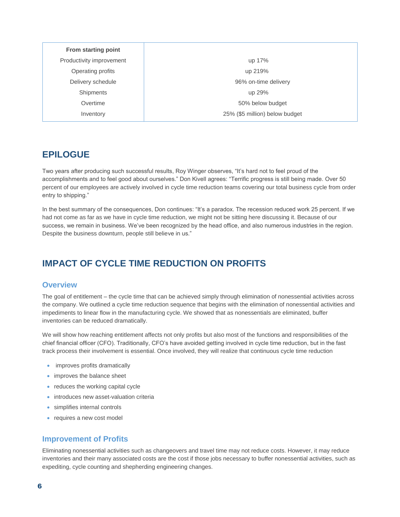| From starting point      |                                |  |
|--------------------------|--------------------------------|--|
| Productivity improvement | up 17%                         |  |
| Operating profits        | up 219%                        |  |
| Delivery schedule        | 96% on-time delivery           |  |
| Shipments                | up 29%                         |  |
| Overtime                 | 50% below budget               |  |
| Inventory                | 25% (\$5 million) below budget |  |

### **EPILOGUE**

Two years after producing such successful results, Roy Winger observes, "It's hard not to feel proud of the accomplishments and to feel good about ourselves." Don Kivell agrees: "Terrific progress is still being made. Over 50 percent of our employees are actively involved in cycle time reduction teams covering our total business cycle from order entry to shipping."

In the best summary of the consequences, Don continues: "It's a paradox. The recession reduced work 25 percent. If we had not come as far as we have in cycle time reduction, we might not be sitting here discussing it. Because of our success, we remain in business. We've been recognized by the head office, and also numerous industries in the region. Despite the business downturn, people still believe in us."

# **IMPACT OF CYCLE TIME REDUCTION ON PROFITS**

#### **Overview**

The goal of entitlement – the cycle time that can be achieved simply through elimination of nonessential activities across the company. We outlined a cycle time reduction sequence that begins with the elimination of nonessential activities and impediments to linear flow in the manufacturing cycle. We showed that as nonessentials are eliminated, buffer inventories can be reduced dramatically.

We will show how reaching entitlement affects not only profits but also most of the functions and responsibilities of the chief financial officer (CFO). Traditionally, CFO's have avoided getting involved in cycle time reduction, but in the fast track process their involvement is essential. Once involved, they will realize that continuous cycle time reduction

- improves profits dramatically
- improves the balance sheet
- reduces the working capital cycle
- introduces new asset-valuation criteria
- simplifies internal controls
- requires a new cost model

#### **Improvement of Profits**

Eliminating nonessential activities such as changeovers and travel time may not reduce costs. However, it may reduce inventories and their many associated costs are the cost if those jobs necessary to buffer nonessential activities, such as expediting, cycle counting and shepherding engineering changes.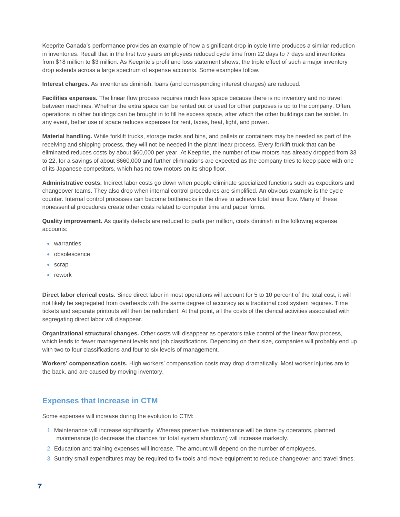Keeprite Canada's performance provides an example of how a significant drop in cycle time produces a similar reduction in inventories. Recall that in the first two years employees reduced cycle time from 22 days to 7 days and inventories from \$18 million to \$3 million. As Keeprite's profit and loss statement shows, the triple effect of such a major inventory drop extends across a large spectrum of expense accounts. Some examples follow.

**Interest charges.** As inventories diminish, loans (and corresponding interest charges) are reduced.

**Facilities expenses.** The linear flow process requires much less space because there is no inventory and no travel between machines. Whether the extra space can be rented out or used for other purposes is up to the company. Often, operations in other buildings can be brought in to fill he excess space, after which the other buildings can be sublet. In any event, better use of space reduces expenses for rent, taxes, heat, light, and power.

**Material handling.** While forklift trucks, storage racks and bins, and pallets or containers may be needed as part of the receiving and shipping process, they will not be needed in the plant linear process. Every forklift truck that can be eliminated reduces costs by about \$60,000 per year. At Keeprite, the number of tow motors has already dropped from 33 to 22, for a savings of about \$660,000 and further eliminations are expected as the company tries to keep pace with one of its Japanese competitors, which has no tow motors on its shop floor.

**Administrative costs.** Indirect labor costs go down when people eliminate specialized functions such as expeditors and changeover teams. They also drop when internal control procedures are simplified. An obvious example is the cycle counter. Internal control processes can become bottlenecks in the drive to achieve total linear flow. Many of these nonessential procedures create other costs related to computer time and paper forms.

**Quality improvement.** As quality defects are reduced to parts per million, costs diminish in the following expense accounts:

- warranties
- obsolescence
- scrap
- rework

**Direct labor clerical costs.** Since direct labor in most operations will account for 5 to 10 percent of the total cost, it will not likely be segregated from overheads with the same degree of accuracy as a traditional cost system requires. Time tickets and separate printouts will then be redundant. At that point, all the costs of the clerical activities associated with segregating direct labor will disappear.

**Organizational structural changes.** Other costs will disappear as operators take control of the linear flow process, which leads to fewer management levels and job classifications. Depending on their size, companies will probably end up with two to four classifications and four to six levels of management.

**Workers' compensation costs.** High workers' compensation costs may drop dramatically. Most worker injuries are to the back, and are caused by moving inventory.

#### **Expenses that Increase in CTM**

Some expenses will increase during the evolution to CTM:

- 1. Maintenance will increase significantly. Whereas preventive maintenance will be done by operators, planned maintenance (to decrease the chances for total system shutdown) will increase markedly.
- 2. Education and training expenses will increase. The amount will depend on the number of employees.
- 3. Sundry small expenditures may be required to fix tools and move equipment to reduce changeover and travel times.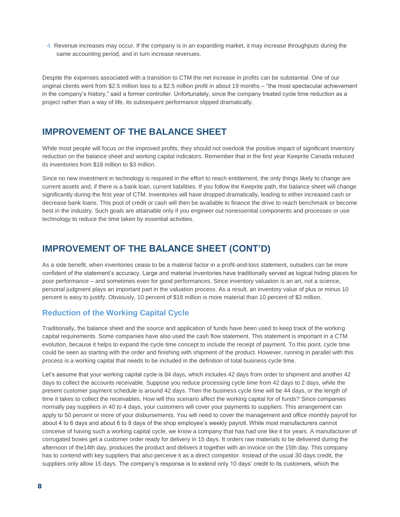4. Revenue increases may occur. If the company is in an expanding market, it may increase throughputs during the same accounting period, and in turn increase revenues.

Despite the expenses associated with a transition to CTM the net increase in profits can be substantial. One of our original clients went from \$2.5 million loss to a \$2.5 million profit in about 19 months – "the most spectacular achievement in the company's history," said a former controller. Unfortunately, since the company treated cycle time reduction as a project rather than a way of life, its subsequent performance slipped dramatically.

### **IMPROVEMENT OF THE BALANCE SHEET**

While most people will focus on the improved profits, they should not overlook the positive impact of significant inventory reduction on the balance sheet and working capital indicators. Remember that in the first year Keeprite Canada reduced its inventories from \$18 million to \$3 million.

Since no new investment in technology is required in the effort to reach entitlement, the only things likely to change are current assets and, if there is a bank loan, current liabilities. If you follow the Keeprite path, the balance sheet will change significantly during the first year of CTM. Inventories will have dropped dramatically, leading to either increased cash or decrease bank loans. This pool of credit or cash will then be available to finance the drive to reach benchmark or become best in the industry. Such goals are attainable only if you engineer out nonessential components and processes or use technology to reduce the time taken by essential activities.

## **IMPROVEMENT OF THE BALANCE SHEET (CONT'D)**

As a side benefit, when inventories cease to be a material factor in a profit-and-loss statement, outsiders can be more confident of the statement's accuracy. Large and material inventories have traditionally served as logical hiding places for poor performance – and sometimes even for good performances. Since inventory valuation is an art, not a science, personal judgment plays an important part in the valuation process. As a result, an inventory value of plus or minus 10 percent is easy to justify. Obviously, 10 percent of \$18 million is more material than 10 percent of \$3 million.

### **Reduction of the Working Capital Cycle**

Traditionally, the balance sheet and the source and application of funds have been used to keep track of the working capital requirements. Some companies have also used the cash flow statement. This statement is important in a CTM evolution, because it helps to expand the cycle time concept to include the receipt of payment. To this point, cycle time could be seen as starting with the order and finishing with shipment of the product. However, running in parallel with this process is a working capital that needs to be included in the definition of total business cycle time.

Let's assume that your working capital cycle is 84 days, which includes 42 days from order to shipment and another 42 days to collect the accounts receivable. Suppose you reduce processing cycle time from 42 days to 2 days, while the present customer payment schedule is around 42 days. Then the business cycle time will be 44 days, or the length of time it takes to collect the receivables. How will this scenario affect the working capital for of funds? Since companies normally pay suppliers in 40 to 4 days, your customers will cover your payments to suppliers. This arrangement can apply to 50 percent or more of your disbursements. You will need to cover the management and office monthly payroll for about 4 to 6 days and about 6 to 8 days of the shop employee's weekly payroll. While most manufacturers cannot conceive of having such a working capital cycle, we know a company that has had one like it for years. A manufacturer of corrugated boxes get a customer order ready for delivery in 15 days. It orders raw materials to be delivered during the afternoon of the14th day, produces the product and delivers it together with an invoice on the 15th day. This company has to contend with key suppliers that also perceive it as a direct competitor. Instead of the usual 30 days credit, the suppliers only allow 15 days. The company's response is to extend only 10 days' credit to its customers, which the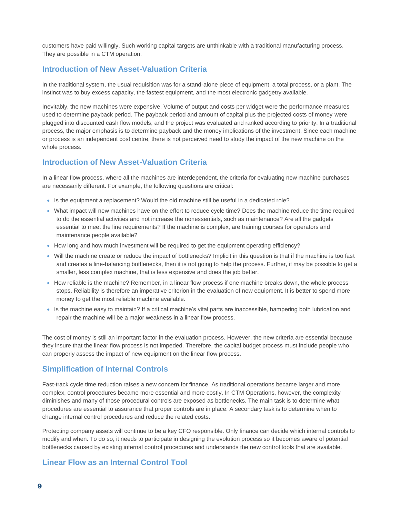customers have paid willingly. Such working capital targets are unthinkable with a traditional manufacturing process. They are possible in a CTM operation.

#### **Introduction of New Asset-Valuation Criteria**

In the traditional system, the usual requisition was for a stand-alone piece of equipment, a total process, or a plant. The instinct was to buy excess capacity, the fastest equipment, and the most electronic gadgetry available.

Inevitably, the new machines were expensive. Volume of output and costs per widget were the performance measures used to determine payback period. The payback period and amount of capital plus the projected costs of money were plugged into discounted cash flow models, and the project was evaluated and ranked according to priority. In a traditional process, the major emphasis is to determine payback and the money implications of the investment. Since each machine or process is an independent cost centre, there is not perceived need to study the impact of the new machine on the whole process.

#### **Introduction of New Asset-Valuation Criteria**

In a linear flow process, where all the machines are interdependent, the criteria for evaluating new machine purchases are necessarily different. For example, the following questions are critical:

- Is the equipment a replacement? Would the old machine still be useful in a dedicated role?
- What impact will new machines have on the effort to reduce cycle time? Does the machine reduce the time required to do the essential activities and not increase the nonessentials, such as maintenance? Are all the gadgets essential to meet the line requirements? If the machine is complex, are training courses for operators and maintenance people available?
- How long and how much investment will be required to get the equipment operating efficiency?
- Will the machine create or reduce the impact of bottlenecks? Implicit in this question is that if the machine is too fast and creates a line-balancing bottlenecks, then it is not going to help the process. Further, it may be possible to get a smaller, less complex machine, that is less expensive and does the job better.
- How reliable is the machine? Remember, in a linear flow process if one machine breaks down, the whole process stops. Reliability is therefore an imperative criterion in the evaluation of new equipment. It is better to spend more money to get the most reliable machine available.
- Is the machine easy to maintain? If a critical machine's vital parts are inaccessible, hampering both lubrication and repair the machine will be a major weakness in a linear flow process.

The cost of money is still an important factor in the evaluation process. However, the new criteria are essential because they insure that the linear flow process is not impeded. Therefore, the capital budget process must include people who can properly assess the impact of new equipment on the linear flow process.

### **Simplification of Internal Controls**

Fast-track cycle time reduction raises a new concern for finance. As traditional operations became larger and more complex, control procedures became more essential and more costly. In CTM Operations, however, the complexity diminishes and many of those procedural controls are exposed as bottlenecks. The main task is to determine what procedures are essential to assurance that proper controls are in place. A secondary task is to determine when to change internal control procedures and reduce the related costs.

Protecting company assets will continue to be a key CFO responsible. Only finance can decide which internal controls to modify and when. To do so, it needs to participate in designing the evolution process so it becomes aware of potential bottlenecks caused by existing internal control procedures and understands the new control tools that are available.

### **Linear Flow as an Internal Control Tool**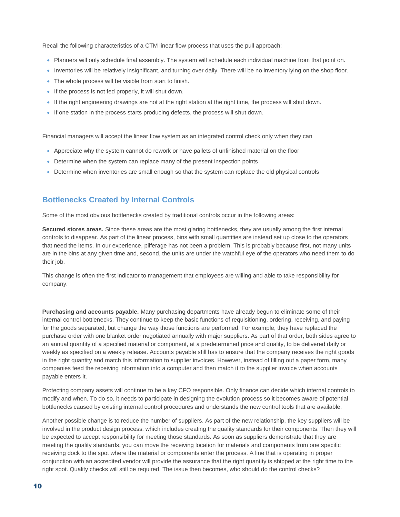Recall the following characteristics of a CTM linear flow process that uses the pull approach:

- Planners will only schedule final assembly. The system will schedule each individual machine from that point on.
- Inventories will be relatively insignificant, and turning over daily. There will be no inventory lying on the shop floor.
- The whole process will be visible from start to finish.
- If the process is not fed properly, it will shut down.
- If the right engineering drawings are not at the right station at the right time, the process will shut down.
- If one station in the process starts producing defects, the process will shut down.

Financial managers will accept the linear flow system as an integrated control check only when they can

- Appreciate why the system cannot do rework or have pallets of unfinished material on the floor
- Determine when the system can replace many of the present inspection points
- Determine when inventories are small enough so that the system can replace the old physical controls

### **Bottlenecks Created by Internal Controls**

Some of the most obvious bottlenecks created by traditional controls occur in the following areas:

**Secured stores areas.** Since these areas are the most glaring bottlenecks, they are usually among the first internal controls to disappear. As part of the linear process, bins with small quantities are instead set up close to the operators that need the items. In our experience, pilferage has not been a problem. This is probably because first, not many units are in the bins at any given time and, second, the units are under the watchful eye of the operators who need them to do their job.

This change is often the first indicator to management that employees are willing and able to take responsibility for company.

**Purchasing and accounts payable.** Many purchasing departments have already begun to eliminate some of their internal control bottlenecks. They continue to keep the basic functions of requisitioning, ordering, receiving, and paying for the goods separated, but change the way those functions are performed. For example, they have replaced the purchase order with one blanket order negotiated annually with major suppliers. As part of that order, both sides agree to an annual quantity of a specified material or component, at a predetermined price and quality, to be delivered daily or weekly as specified on a weekly release. Accounts payable still has to ensure that the company receives the right goods in the right quantity and match this information to supplier invoices. However, instead of filling out a paper form, many companies feed the receiving information into a computer and then match it to the supplier invoice when accounts payable enters it.

Protecting company assets will continue to be a key CFO responsible. Only finance can decide which internal controls to modify and when. To do so, it needs to participate in designing the evolution process so it becomes aware of potential bottlenecks caused by existing internal control procedures and understands the new control tools that are available.

Another possible change is to reduce the number of suppliers. As part of the new relationship, the key suppliers will be involved in the product design process, which includes creating the quality standards for their components. Then they will be expected to accept responsibility for meeting those standards. As soon as suppliers demonstrate that they are meeting the quality standards, you can move the receiving location for materials and components from one specific receiving dock to the spot where the material or components enter the process. A line that is operating in proper conjunction with an accredited vendor will provide the assurance that the right quantity is shipped at the right time to the right spot. Quality checks will still be required. The issue then becomes, who should do the control checks?